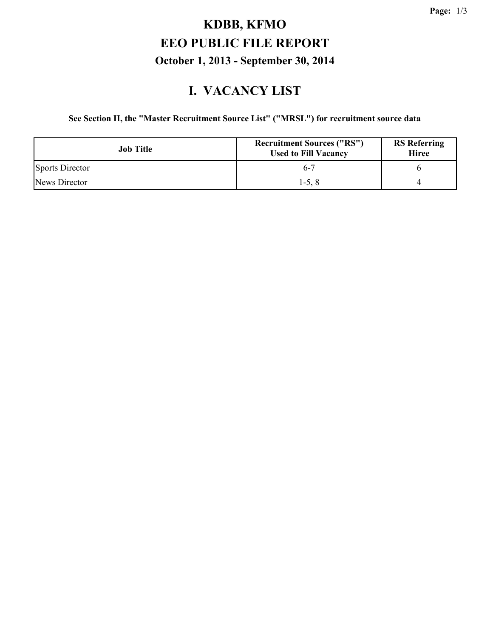# **KDBB, KFMO EEO PUBLIC FILE REPORT October 1, 2013 - September 30, 2014**

#### **I. VACANCY LIST**

#### **See Section II, the "Master Recruitment Source List" ("MRSL") for recruitment source data**

| <b>Job</b> Title       | <b>Recruitment Sources ("RS")</b><br><b>Used to Fill Vacancy</b> | <b>RS</b> Referring<br><b>Hiree</b> |
|------------------------|------------------------------------------------------------------|-------------------------------------|
| <b>Sports Director</b> | $6-7$                                                            |                                     |
| News Director          | $1-5, 8$                                                         |                                     |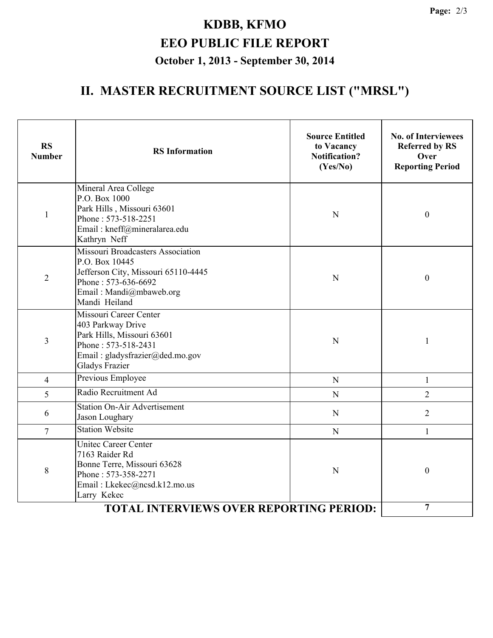# **KDBB, KFMO EEO PUBLIC FILE REPORT October 1, 2013 - September 30, 2014**

#### **II. MASTER RECRUITMENT SOURCE LIST ("MRSL")**

| <b>RS</b><br><b>Number</b> | <b>RS</b> Information                                                                                                                                                | <b>Source Entitled</b><br>to Vacancy<br><b>Notification?</b><br>(Yes/No) | <b>No. of Interviewees</b><br><b>Referred by RS</b><br>Over<br><b>Reporting Period</b> |
|----------------------------|----------------------------------------------------------------------------------------------------------------------------------------------------------------------|--------------------------------------------------------------------------|----------------------------------------------------------------------------------------|
| $\mathbf{1}$               | Mineral Area College<br>P.O. Box 1000<br>Park Hills, Missouri 63601<br>Phone: 573-518-2251<br>Email: kneff@mineralarea.edu<br>Kathryn Neff                           | N                                                                        | $\boldsymbol{0}$                                                                       |
| $\overline{2}$             | <b>Missouri Broadcasters Association</b><br>P.O. Box 10445<br>Jefferson City, Missouri 65110-4445<br>Phone: 573-636-6692<br>Email: Mandi@mbaweb.org<br>Mandi Heiland | N                                                                        | $\boldsymbol{0}$                                                                       |
| $\overline{3}$             | Missouri Career Center<br>403 Parkway Drive<br>Park Hills, Missouri 63601<br>Phone: 573-518-2431<br>Email: gladysfrazier@ded.mo.gov<br><b>Gladys Frazier</b>         | N                                                                        | 1                                                                                      |
| $\overline{4}$             | Previous Employee<br>N                                                                                                                                               |                                                                          | $\mathbf{1}$                                                                           |
| 5                          | Radio Recruitment Ad                                                                                                                                                 | N                                                                        | $\overline{2}$                                                                         |
| 6                          | <b>Station On-Air Advertisement</b><br>Jason Loughary                                                                                                                | N                                                                        | $\overline{2}$                                                                         |
| $\overline{7}$             | <b>Station Website</b>                                                                                                                                               | N                                                                        | $\mathbf{1}$                                                                           |
| 8                          | <b>Unitec Career Center</b><br>7163 Raider Rd<br>Bonne Terre, Missouri 63628<br>Phone: 573-358-2271<br>Email: Lkekec@ncsd.k12.mo.us<br>Larry Kekec                   | N                                                                        | $\boldsymbol{0}$                                                                       |
|                            | $\overline{7}$                                                                                                                                                       |                                                                          |                                                                                        |